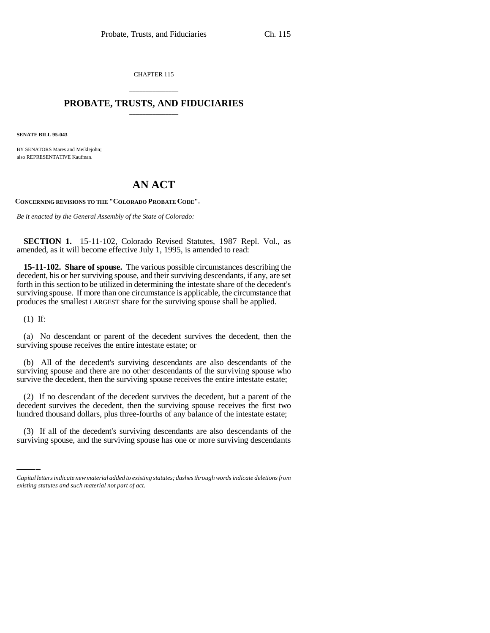CHAPTER 115

# \_\_\_\_\_\_\_\_\_\_\_\_\_\_\_ **PROBATE, TRUSTS, AND FIDUCIARIES** \_\_\_\_\_\_\_\_\_\_\_\_\_\_\_

**SENATE BILL 95-043**

BY SENATORS Mares and Meiklejohn; also REPRESENTATIVE Kaufman.

# **AN ACT**

**CONCERNING REVISIONS TO THE "COLORADO PROBATE CODE".**

*Be it enacted by the General Assembly of the State of Colorado:*

**SECTION 1.** 15-11-102, Colorado Revised Statutes, 1987 Repl. Vol., as amended, as it will become effective July 1, 1995, is amended to read:

**15-11-102. Share of spouse.** The various possible circumstances describing the decedent, his or her surviving spouse, and their surviving descendants, if any, are set forth in this section to be utilized in determining the intestate share of the decedent's surviving spouse. If more than one circumstance is applicable, the circumstance that produces the smallest LARGEST share for the surviving spouse shall be applied.

(1) If:

(a) No descendant or parent of the decedent survives the decedent, then the surviving spouse receives the entire intestate estate; or

(b) All of the decedent's surviving descendants are also descendants of the surviving spouse and there are no other descendants of the surviving spouse who survive the decedent, then the surviving spouse receives the entire intestate estate;

decedent survives the decedent, then the surviving spouse receives the first two hundred thousand dollars, plus three-fourths of any balance of the intestate estate; (2) If no descendant of the decedent survives the decedent, but a parent of the decedent survives the decedent, then the surviving spouse receives the first two

(3) If all of the decedent's surviving descendants are also descendants of the surviving spouse, and the surviving spouse has one or more surviving descendants

*Capital letters indicate new material added to existing statutes; dashes through words indicate deletions from existing statutes and such material not part of act.*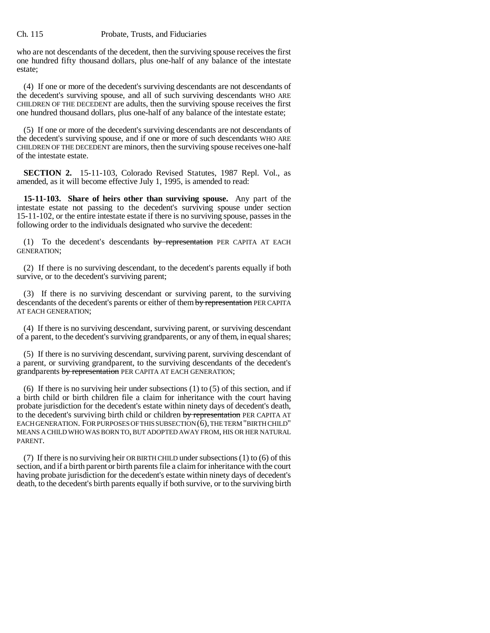### Ch. 115 Probate, Trusts, and Fiduciaries

who are not descendants of the decedent, then the surviving spouse receives the first one hundred fifty thousand dollars, plus one-half of any balance of the intestate estate;

(4) If one or more of the decedent's surviving descendants are not descendants of the decedent's surviving spouse, and all of such surviving descendants WHO ARE CHILDREN OF THE DECEDENT are adults, then the surviving spouse receives the first one hundred thousand dollars, plus one-half of any balance of the intestate estate;

(5) If one or more of the decedent's surviving descendants are not descendants of the decedent's surviving spouse, and if one or more of such descendants WHO ARE CHILDREN OF THE DECEDENT are minors, then the surviving spouse receives one-half of the intestate estate.

**SECTION 2.** 15-11-103, Colorado Revised Statutes, 1987 Repl. Vol., as amended, as it will become effective July 1, 1995, is amended to read:

**15-11-103. Share of heirs other than surviving spouse.** Any part of the intestate estate not passing to the decedent's surviving spouse under section 15-11-102, or the entire intestate estate if there is no surviving spouse, passes in the following order to the individuals designated who survive the decedent:

(1) To the decedent's descendants by representation PER CAPITA AT EACH GENERATION;

(2) If there is no surviving descendant, to the decedent's parents equally if both survive, or to the decedent's surviving parent;

(3) If there is no surviving descendant or surviving parent, to the surviving descendants of the decedent's parents or either of them by representation PER CAPITA AT EACH GENERATION;

(4) If there is no surviving descendant, surviving parent, or surviving descendant of a parent, to the decedent's surviving grandparents, or any of them, in equal shares;

(5) If there is no surviving descendant, surviving parent, surviving descendant of a parent, or surviving grandparent, to the surviving descendants of the decedent's grandparents by representation PER CAPITA AT EACH GENERATION;

(6) If there is no surviving heir under subsections (1) to (5) of this section, and if a birth child or birth children file a claim for inheritance with the court having probate jurisdiction for the decedent's estate within ninety days of decedent's death, to the decedent's surviving birth child or children by representation PER CAPITA AT EACH GENERATION. FOR PURPOSES OF THIS SUBSECTION (6), THE TERM "BIRTH CHILD" MEANS A CHILD WHO WAS BORN TO, BUT ADOPTED AWAY FROM, HIS OR HER NATURAL PARENT.

(7) If there is no surviving heir OR BIRTH CHILD under subsections (1) to (6) of this section, and if a birth parent or birth parents file a claim for inheritance with the court having probate jurisdiction for the decedent's estate within ninety days of decedent's death, to the decedent's birth parents equally if both survive, or to the surviving birth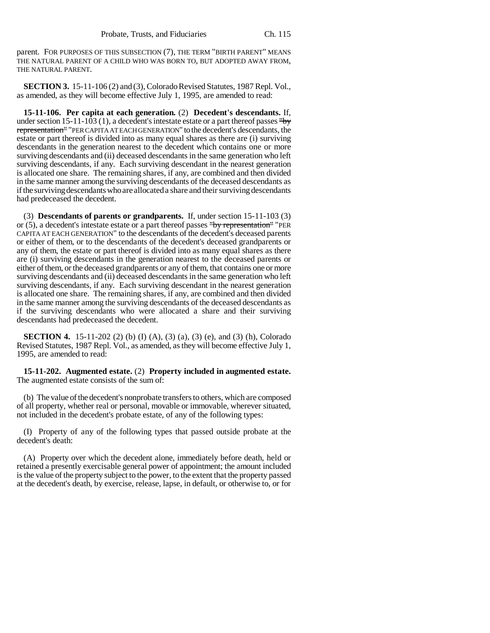parent. FOR PURPOSES OF THIS SUBSECTION (7), THE TERM "BIRTH PARENT" MEANS THE NATURAL PARENT OF A CHILD WHO WAS BORN TO, BUT ADOPTED AWAY FROM, THE NATURAL PARENT.

**SECTION 3.** 15-11-106 (2) and (3), Colorado Revised Statutes, 1987 Repl. Vol., as amended, as they will become effective July 1, 1995, are amended to read:

**15-11-106. Per capita at each generation.** (2) **Decedent's descendants.** If, under section 15-11-103 (1), a decedent's intestate estate or a part thereof passes "by representation" "PER CAPITA AT EACH GENERATION" to the decedent's descendants, the estate or part thereof is divided into as many equal shares as there are (i) surviving descendants in the generation nearest to the decedent which contains one or more surviving descendants and (ii) deceased descendants in the same generation who left surviving descendants, if any. Each surviving descendant in the nearest generation is allocated one share. The remaining shares, if any, are combined and then divided in the same manner among the surviving descendants of the deceased descendants as if the surviving descendants who are allocated a share and their surviving descendants had predeceased the decedent.

(3) **Descendants of parents or grandparents.** If, under section 15-11-103 (3) or (5), a decedent's intestate estate or a part thereof passes "by representation" "PER CAPITA AT EACH GENERATION" to the descendants of the decedent's deceased parents or either of them, or to the descendants of the decedent's deceased grandparents or any of them, the estate or part thereof is divided into as many equal shares as there are (i) surviving descendants in the generation nearest to the deceased parents or either of them, or the deceased grandparents or any of them, that contains one or more surviving descendants and (ii) deceased descendants in the same generation who left surviving descendants, if any. Each surviving descendant in the nearest generation is allocated one share. The remaining shares, if any, are combined and then divided in the same manner among the surviving descendants of the deceased descendants as if the surviving descendants who were allocated a share and their surviving descendants had predeceased the decedent.

**SECTION 4.** 15-11-202 (2) (b) (I) (A), (3) (a), (3) (e), and (3) (h), Colorado Revised Statutes, 1987 Repl. Vol., as amended, as they will become effective July 1, 1995, are amended to read:

**15-11-202. Augmented estate.** (2) **Property included in augmented estate.** The augmented estate consists of the sum of:

(b) The value of the decedent's nonprobate transfers to others, which are composed of all property, whether real or personal, movable or immovable, wherever situated, not included in the decedent's probate estate, of any of the following types:

(I) Property of any of the following types that passed outside probate at the decedent's death:

(A) Property over which the decedent alone, immediately before death, held or retained a presently exercisable general power of appointment; the amount included is the value of the property subject to the power, to the extent that the property passed at the decedent's death, by exercise, release, lapse, in default, or otherwise to, or for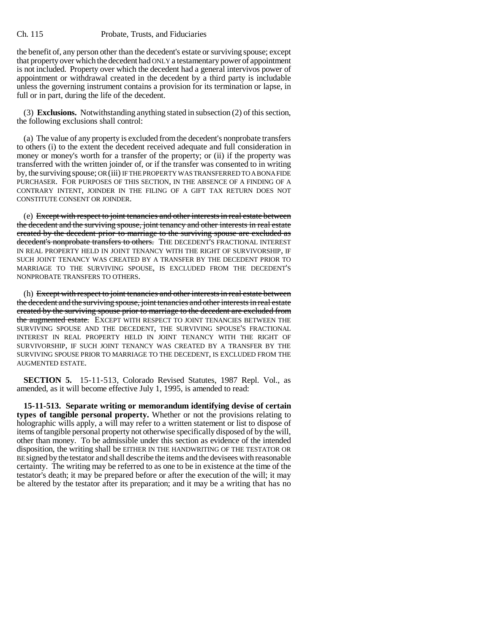#### Ch. 115 Probate, Trusts, and Fiduciaries

the benefit of, any person other than the decedent's estate or surviving spouse; except that property over which the decedent had ONLY a testamentary power of appointment is not included. Property over which the decedent had a general intervivos power of appointment or withdrawal created in the decedent by a third party is includable unless the governing instrument contains a provision for its termination or lapse, in full or in part, during the life of the decedent.

(3) **Exclusions.** Notwithstanding anything stated in subsection (2) of this section, the following exclusions shall control:

(a) The value of any property is excluded from the decedent's nonprobate transfers to others (i) to the extent the decedent received adequate and full consideration in money or money's worth for a transfer of the property; or (ii) if the property was transferred with the written joinder of, or if the transfer was consented to in writing by, the surviving spouse; OR (iii) IF THE PROPERTY WAS TRANSFERRED TO A BONA FIDE PURCHASER. FOR PURPOSES OF THIS SECTION, IN THE ABSENCE OF A FINDING OF A CONTRARY INTENT, JOINDER IN THE FILING OF A GIFT TAX RETURN DOES NOT CONSTITUTE CONSENT OR JOINDER.

(e) Except with respect to joint tenancies and other interests in real estate between the decedent and the surviving spouse, joint tenancy and other interests in real estate created by the decedent prior to marriage to the surviving spouse are excluded as decedent's nonprobate transfers to others. THE DECEDENT'S FRACTIONAL INTEREST IN REAL PROPERTY HELD IN JOINT TENANCY WITH THE RIGHT OF SURVIVORSHIP, IF SUCH JOINT TENANCY WAS CREATED BY A TRANSFER BY THE DECEDENT PRIOR TO MARRIAGE TO THE SURVIVING SPOUSE, IS EXCLUDED FROM THE DECEDENT'S NONPROBATE TRANSFERS TO OTHERS.

(h) Except with respect to joint tenancies and other interests in real estate between the decedent and the surviving spouse, joint tenancies and other interests in real estate created by the surviving spouse prior to marriage to the decedent are excluded from the augmented estate. EXCEPT WITH RESPECT TO JOINT TENANCIES BETWEEN THE SURVIVING SPOUSE AND THE DECEDENT, THE SURVIVING SPOUSE'S FRACTIONAL INTEREST IN REAL PROPERTY HELD IN JOINT TENANCY WITH THE RIGHT OF SURVIVORSHIP, IF SUCH JOINT TENANCY WAS CREATED BY A TRANSFER BY THE SURVIVING SPOUSE PRIOR TO MARRIAGE TO THE DECEDENT, IS EXCLUDED FROM THE AUGMENTED ESTATE.

**SECTION 5.** 15-11-513, Colorado Revised Statutes, 1987 Repl. Vol., as amended, as it will become effective July 1, 1995, is amended to read:

**15-11-513. Separate writing or memorandum identifying devise of certain types of tangible personal property.** Whether or not the provisions relating to holographic wills apply, a will may refer to a written statement or list to dispose of items of tangible personal property not otherwise specifically disposed of by the will, other than money. To be admissible under this section as evidence of the intended disposition, the writing shall be EITHER IN THE HANDWRITING OF THE TESTATOR OR BE signed by the testator and shall describe the items and the devisees with reasonable certainty. The writing may be referred to as one to be in existence at the time of the testator's death; it may be prepared before or after the execution of the will; it may be altered by the testator after its preparation; and it may be a writing that has no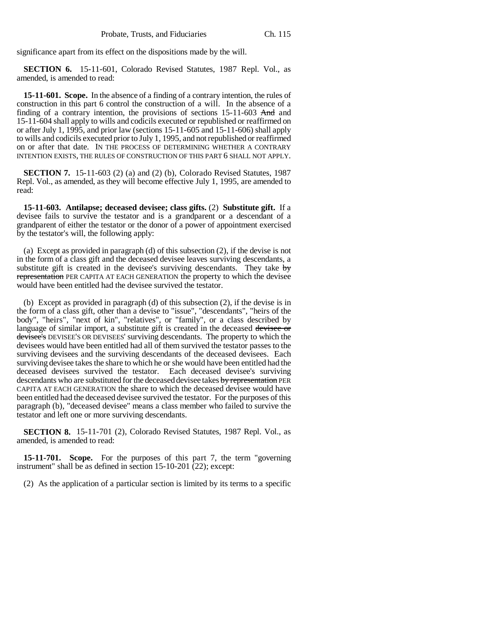significance apart from its effect on the dispositions made by the will.

**SECTION 6.** 15-11-601, Colorado Revised Statutes, 1987 Repl. Vol., as amended, is amended to read:

**15-11-601. Scope.** In the absence of a finding of a contrary intention, the rules of construction in this part 6 control the construction of a will. In the absence of a finding of a contrary intention, the provisions of sections 15-11-603 And and 15-11-604 shall apply to wills and codicils executed or republished or reaffirmed on or after July 1, 1995, and prior law (sections 15-11-605 and 15-11-606) shall apply to wills and codicils executed prior to July 1, 1995, and not republished or reaffirmed on or after that date. IN THE PROCESS OF DETERMINING WHETHER A CONTRARY INTENTION EXISTS, THE RULES OF CONSTRUCTION OF THIS PART 6 SHALL NOT APPLY.

**SECTION 7.** 15-11-603 (2) (a) and (2) (b), Colorado Revised Statutes, 1987 Repl. Vol., as amended, as they will become effective July 1, 1995, are amended to read:

**15-11-603. Antilapse; deceased devisee; class gifts.** (2) **Substitute gift.** If a devisee fails to survive the testator and is a grandparent or a descendant of a grandparent of either the testator or the donor of a power of appointment exercised by the testator's will, the following apply:

(a) Except as provided in paragraph (d) of this subsection (2), if the devise is not in the form of a class gift and the deceased devisee leaves surviving descendants, a substitute gift is created in the devisee's surviving descendants. They take  $\frac{1}{2}$ representation PER CAPITA AT EACH GENERATION the property to which the devisee would have been entitled had the devisee survived the testator.

(b) Except as provided in paragraph (d) of this subsection (2), if the devise is in the form of a class gift, other than a devise to "issue", "descendants", "heirs of the body", "heirs", "next of kin", "relatives", or "family", or a class described by language of similar import, a substitute gift is created in the deceased devisee or devisee's DEVISEE'S OR DEVISEES' surviving descendants. The property to which the devisees would have been entitled had all of them survived the testator passes to the surviving devisees and the surviving descendants of the deceased devisees. Each surviving devisee takes the share to which he or she would have been entitled had the deceased devisees survived the testator. Each deceased devisee's surviving descendants who are substituted for the deceased devisee takes by representation PER CAPITA AT EACH GENERATION the share to which the deceased devisee would have been entitled had the deceased devisee survived the testator. For the purposes of this paragraph (b), "deceased devisee" means a class member who failed to survive the testator and left one or more surviving descendants.

**SECTION 8.** 15-11-701 (2), Colorado Revised Statutes, 1987 Repl. Vol., as amended, is amended to read:

**15-11-701. Scope.** For the purposes of this part 7, the term "governing instrument" shall be as defined in section 15-10-201 (22); except:

(2) As the application of a particular section is limited by its terms to a specific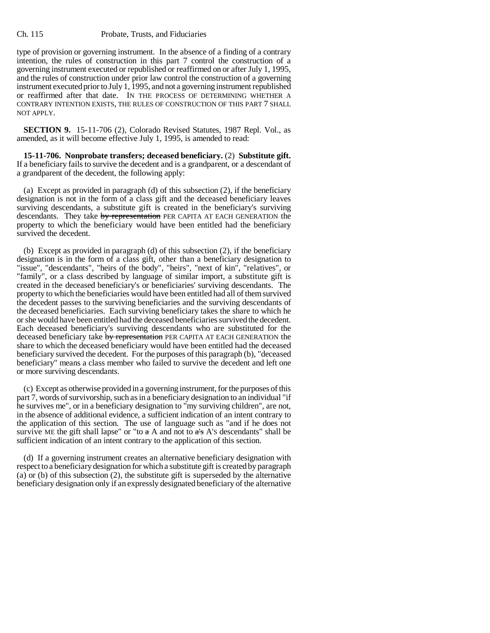#### Ch. 115 Probate, Trusts, and Fiduciaries

type of provision or governing instrument. In the absence of a finding of a contrary intention, the rules of construction in this part 7 control the construction of a governing instrument executed or republished or reaffirmed on or after July 1, 1995, and the rules of construction under prior law control the construction of a governing instrument executed prior to July 1, 1995, and not a governing instrument republished or reaffirmed after that date. IN THE PROCESS OF DETERMINING WHETHER A CONTRARY INTENTION EXISTS, THE RULES OF CONSTRUCTION OF THIS PART 7 SHALL NOT APPLY.

**SECTION 9.** 15-11-706 (2), Colorado Revised Statutes, 1987 Repl. Vol., as amended, as it will become effective July 1, 1995, is amended to read:

**15-11-706. Nonprobate transfers; deceased beneficiary.** (2) **Substitute gift.** If a beneficiary fails to survive the decedent and is a grandparent, or a descendant of a grandparent of the decedent, the following apply:

(a) Except as provided in paragraph (d) of this subsection (2), if the beneficiary designation is not in the form of a class gift and the deceased beneficiary leaves surviving descendants, a substitute gift is created in the beneficiary's surviving descendants. They take by representation PER CAPITA AT EACH GENERATION the property to which the beneficiary would have been entitled had the beneficiary survived the decedent.

(b) Except as provided in paragraph (d) of this subsection (2), if the beneficiary designation is in the form of a class gift, other than a beneficiary designation to "issue", "descendants", "heirs of the body", "heirs", "next of kin", "relatives", or "family", or a class described by language of similar import, a substitute gift is created in the deceased beneficiary's or beneficiaries' surviving descendants. The property to which the beneficiaries would have been entitled had all of them survived the decedent passes to the surviving beneficiaries and the surviving descendants of the deceased beneficiaries. Each surviving beneficiary takes the share to which he or she would have been entitled had the deceased beneficiaries survived the decedent. Each deceased beneficiary's surviving descendants who are substituted for the deceased beneficiary take by representation PER CAPITA AT EACH GENERATION the share to which the deceased beneficiary would have been entitled had the deceased beneficiary survived the decedent. For the purposes of this paragraph (b), "deceased beneficiary" means a class member who failed to survive the decedent and left one or more surviving descendants.

(c) Except as otherwise provided in a governing instrument, for the purposes of this part 7, words of survivorship, such as in a beneficiary designation to an individual "if he survives me", or in a beneficiary designation to "my surviving children", are not, in the absence of additional evidence, a sufficient indication of an intent contrary to the application of this section. The use of language such as "and if he does not survive ME the gift shall lapse" or "to  $\alpha$  A and not to  $\alpha$ 's A's descendants" shall be sufficient indication of an intent contrary to the application of this section.

(d) If a governing instrument creates an alternative beneficiary designation with respect to a beneficiary designation for which a substitute gift is created by paragraph (a) or (b) of this subsection (2), the substitute gift is superseded by the alternative beneficiary designation only if an expressly designated beneficiary of the alternative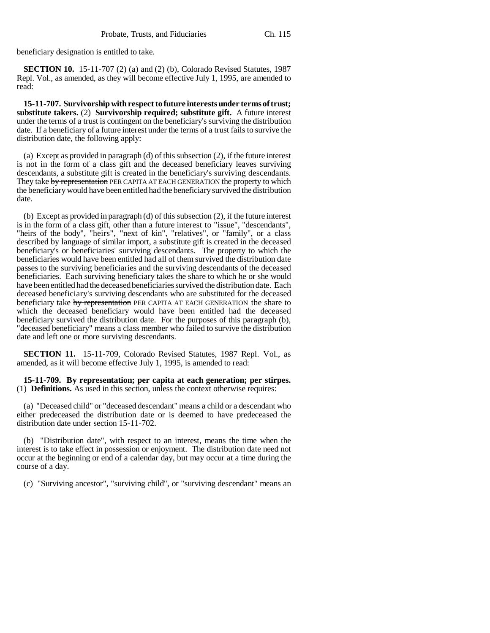beneficiary designation is entitled to take.

**SECTION 10.** 15-11-707 (2) (a) and (2) (b), Colorado Revised Statutes, 1987 Repl. Vol., as amended, as they will become effective July 1, 1995, are amended to read:

**15-11-707. Survivorship with respect to future interests under terms of trust; substitute takers.** (2) **Survivorship required; substitute gift.** A future interest under the terms of a trust is contingent on the beneficiary's surviving the distribution date. If a beneficiary of a future interest under the terms of a trust fails to survive the distribution date, the following apply:

(a) Except as provided in paragraph (d) of this subsection (2), if the future interest is not in the form of a class gift and the deceased beneficiary leaves surviving descendants, a substitute gift is created in the beneficiary's surviving descendants. They take by representation PER CAPITA AT EACH GENERATION the property to which the beneficiary would have been entitled had the beneficiary survived the distribution date.

(b) Except as provided in paragraph (d) of this subsection (2), if the future interest is in the form of a class gift, other than a future interest to "issue", "descendants", "heirs of the body", "heirs", "next of kin", "relatives", or "family", or a class described by language of similar import, a substitute gift is created in the deceased beneficiary's or beneficiaries' surviving descendants. The property to which the beneficiaries would have been entitled had all of them survived the distribution date passes to the surviving beneficiaries and the surviving descendants of the deceased beneficiaries. Each surviving beneficiary takes the share to which he or she would have been entitled had the deceased beneficiaries survived the distribution date. Each deceased beneficiary's surviving descendants who are substituted for the deceased beneficiary take by representation PER CAPITA AT EACH GENERATION the share to which the deceased beneficiary would have been entitled had the deceased beneficiary survived the distribution date. For the purposes of this paragraph (b), "deceased beneficiary" means a class member who failed to survive the distribution date and left one or more surviving descendants.

**SECTION 11.** 15-11-709, Colorado Revised Statutes, 1987 Repl. Vol., as amended, as it will become effective July 1, 1995, is amended to read:

**15-11-709. By representation; per capita at each generation; per stirpes.** (1) **Definitions.** As used in this section, unless the context otherwise requires:

(a) "Deceased child" or "deceased descendant" means a child or a descendant who either predeceased the distribution date or is deemed to have predeceased the distribution date under section 15-11-702.

(b) "Distribution date", with respect to an interest, means the time when the interest is to take effect in possession or enjoyment. The distribution date need not occur at the beginning or end of a calendar day, but may occur at a time during the course of a day.

(c) "Surviving ancestor", "surviving child", or "surviving descendant" means an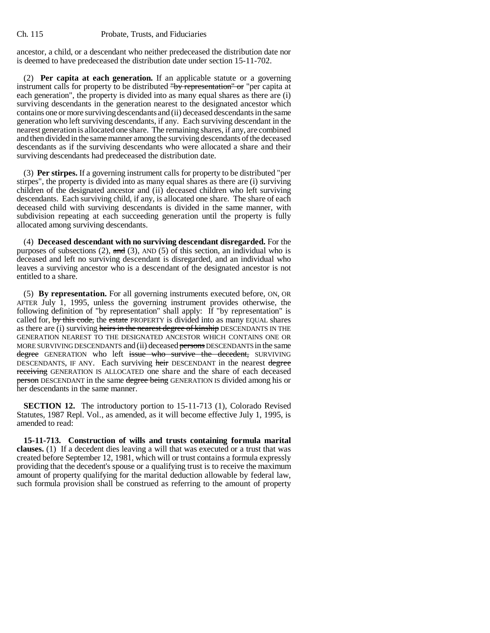ancestor, a child, or a descendant who neither predeceased the distribution date nor is deemed to have predeceased the distribution date under section 15-11-702.

(2) **Per capita at each generation.** If an applicable statute or a governing instrument calls for property to be distributed "by representation" or "per capita at each generation", the property is divided into as many equal shares as there are (i) surviving descendants in the generation nearest to the designated ancestor which contains one or more surviving descendants and (ii) deceased descendants in the same generation who left surviving descendants, if any. Each surviving descendant in the nearest generation is allocated one share. The remaining shares, if any, are combined and then divided in the same manner among the surviving descendants of the deceased descendants as if the surviving descendants who were allocated a share and their surviving descendants had predeceased the distribution date.

(3) **Per stirpes.** If a governing instrument calls for property to be distributed "per stirpes", the property is divided into as many equal shares as there are (i) surviving children of the designated ancestor and (ii) deceased children who left surviving descendants. Each surviving child, if any, is allocated one share. The share of each deceased child with surviving descendants is divided in the same manner, with subdivision repeating at each succeeding generation until the property is fully allocated among surviving descendants.

(4) **Deceased descendant with no surviving descendant disregarded.** For the purposes of subsections (2),  $\text{and}$  (3), AND (5) of this section, an individual who is deceased and left no surviving descendant is disregarded, and an individual who leaves a surviving ancestor who is a descendant of the designated ancestor is not entitled to a share.

(5) **By representation.** For all governing instruments executed before, ON, OR AFTER July 1, 1995, unless the governing instrument provides otherwise, the following definition of "by representation" shall apply: If "by representation" is called for, by this code, the estate PROPERTY is divided into as many EQUAL shares as there are (i) surviving heirs in the nearest degree of kinship DESCENDANTS IN THE GENERATION NEAREST TO THE DESIGNATED ANCESTOR WHICH CONTAINS ONE OR MORE SURVIVING DESCENDANTS and (ii) deceased persons DESCENDANTS in the same degree GENERATION who left issue who survive the decedent, SURVIVING DESCENDANTS, IF ANY. Each surviving heir DESCENDANT in the nearest degree receiving GENERATION IS ALLOCATED one share and the share of each deceased **person** DESCENDANT in the same degree being GENERATION IS divided among his or her descendants in the same manner.

**SECTION 12.** The introductory portion to 15-11-713 (1), Colorado Revised Statutes, 1987 Repl. Vol., as amended, as it will become effective July 1, 1995, is amended to read:

**15-11-713. Construction of wills and trusts containing formula marital clauses.** (1) If a decedent dies leaving a will that was executed or a trust that was created before September 12, 1981, which will or trust contains a formula expressly providing that the decedent's spouse or a qualifying trust is to receive the maximum amount of property qualifying for the marital deduction allowable by federal law, such formula provision shall be construed as referring to the amount of property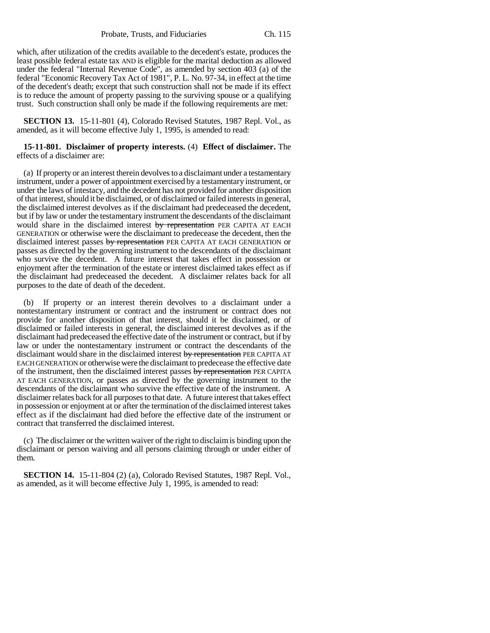Probate, Trusts, and Fiduciaries Ch. 115

which, after utilization of the credits available to the decedent's estate, produces the least possible federal estate tax AND is eligible for the marital deduction as allowed under the federal "Internal Revenue Code", as amended by section 403 (a) of the federal "Economic Recovery Tax Act of 1981", P. L. No. 97-34, in effect at the time of the decedent's death; except that such construction shall not be made if its effect is to reduce the amount of property passing to the surviving spouse or a qualifying trust. Such construction shall only be made if the following requirements are met:

**SECTION 13.** 15-11-801 (4), Colorado Revised Statutes, 1987 Repl. Vol., as amended, as it will become effective July 1, 1995, is amended to read:

## **15-11-801. Disclaimer of property interests.** (4) **Effect of disclaimer.** The effects of a disclaimer are:

(a) If property or an interest therein devolves to a disclaimant under a testamentary instrument, under a power of appointment exercised by a testamentary instrument, or under the laws of intestacy, and the decedent has not provided for another disposition of that interest, should it be disclaimed, or of disclaimed or failed interests in general, the disclaimed interest devolves as if the disclaimant had predeceased the decedent, but if by law or under the testamentary instrument the descendants of the disclaimant would share in the disclaimed interest by representation PER CAPITA AT EACH GENERATION or otherwise were the disclaimant to predecease the decedent, then the disclaimed interest passes by representation PER CAPITA AT EACH GENERATION or passes as directed by the governing instrument to the descendants of the disclaimant who survive the decedent. A future interest that takes effect in possession or enjoyment after the termination of the estate or interest disclaimed takes effect as if the disclaimant had predeceased the decedent. A disclaimer relates back for all purposes to the date of death of the decedent.

(b) If property or an interest therein devolves to a disclaimant under a nontestamentary instrument or contract and the instrument or contract does not provide for another disposition of that interest, should it be disclaimed, or of disclaimed or failed interests in general, the disclaimed interest devolves as if the disclaimant had predeceased the effective date of the instrument or contract, but if by law or under the nontestamentary instrument or contract the descendants of the disclaimant would share in the disclaimed interest by representation PER CAPITA AT EACH GENERATION or otherwise were the disclaimant to predecease the effective date of the instrument, then the disclaimed interest passes by representation PER CAPITA AT EACH GENERATION, or passes as directed by the governing instrument to the descendants of the disclaimant who survive the effective date of the instrument. A disclaimer relates back for all purposes to that date. A future interest that takes effect in possession or enjoyment at or after the termination of the disclaimed interest takes effect as if the disclaimant had died before the effective date of the instrument or contract that transferred the disclaimed interest.

(c) The disclaimer or the written waiver of the right to disclaim is binding upon the disclaimant or person waiving and all persons claiming through or under either of them.

**SECTION 14.** 15-11-804 (2) (a), Colorado Revised Statutes, 1987 Repl. Vol., as amended, as it will become effective July 1, 1995, is amended to read: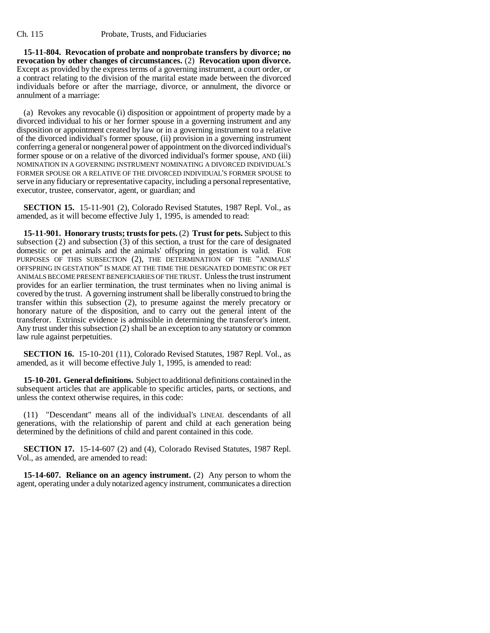**15-11-804. Revocation of probate and nonprobate transfers by divorce; no revocation by other changes of circumstances.** (2) **Revocation upon divorce.** Except as provided by the express terms of a governing instrument, a court order, or a contract relating to the division of the marital estate made between the divorced individuals before or after the marriage, divorce, or annulment, the divorce or annulment of a marriage:

(a) Revokes any revocable (i) disposition or appointment of property made by a divorced individual to his or her former spouse in a governing instrument and any disposition or appointment created by law or in a governing instrument to a relative of the divorced individual's former spouse, (ii) provision in a governing instrument conferring a general or nongeneral power of appointment on the divorced individual's former spouse or on a relative of the divorced individual's former spouse, AND (iii) NOMINATION IN A GOVERNING INSTRUMENT NOMINATING A DIVORCED INDIVIDUAL'S FORMER SPOUSE OR A RELATIVE OF THE DIVORCED INDIVIDUAL'S FORMER SPOUSE to serve in any fiduciary or representative capacity, including a personal representative, executor, trustee, conservator, agent, or guardian; and

**SECTION 15.** 15-11-901 (2), Colorado Revised Statutes, 1987 Repl. Vol., as amended, as it will become effective July 1, 1995, is amended to read:

**15-11-901. Honorary trusts; trusts for pets.** (2) **Trust for pets.** Subject to this subsection (2) and subsection (3) of this section, a trust for the care of designated domestic or pet animals and the animals' offspring in gestation is valid. FOR PURPOSES OF THIS SUBSECTION (2), THE DETERMINATION OF THE "ANIMALS' OFFSPRING IN GESTATION" IS MADE AT THE TIME THE DESIGNATED DOMESTIC OR PET ANIMALS BECOME PRESENT BENEFICIARIES OF THE TRUST. Unless the trust instrument provides for an earlier termination, the trust terminates when no living animal is covered by the trust. A governing instrument shall be liberally construed to bring the transfer within this subsection (2), to presume against the merely precatory or honorary nature of the disposition, and to carry out the general intent of the transferor. Extrinsic evidence is admissible in determining the transferor's intent. Any trust under this subsection (2) shall be an exception to any statutory or common law rule against perpetuities.

**SECTION 16.** 15-10-201 (11), Colorado Revised Statutes, 1987 Repl. Vol., as amended, as it will become effective July 1, 1995, is amended to read:

**15-10-201. General definitions.** Subject to additional definitions contained in the subsequent articles that are applicable to specific articles, parts, or sections, and unless the context otherwise requires, in this code:

(11) "Descendant" means all of the individual's LINEAL descendants of all generations, with the relationship of parent and child at each generation being determined by the definitions of child and parent contained in this code.

**SECTION 17.** 15-14-607 (2) and (4), Colorado Revised Statutes, 1987 Repl. Vol., as amended, are amended to read:

**15-14-607. Reliance on an agency instrument.** (2) Any person to whom the agent, operating under a duly notarized agency instrument, communicates a direction